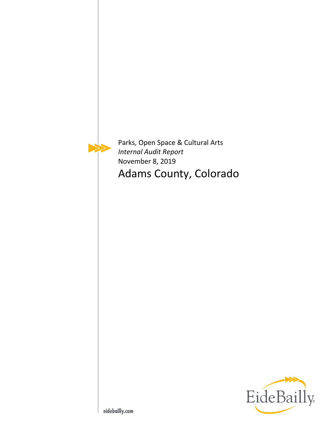

Parks, Open Space & Cultural Arts *Internal Audit Report*  November 8, 2019 Adams County, Colorado

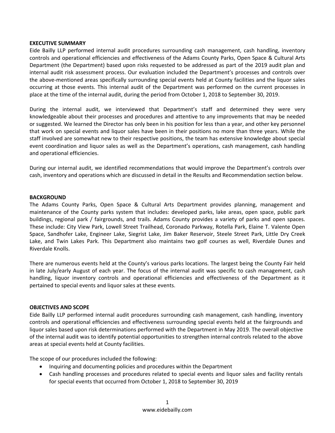### **EXECUTIVE SUMMARY**

Eide Bailly LLP performed internal audit procedures surrounding cash management, cash handling, inventory controls and operational efficiencies and effectiveness of the Adams County Parks, Open Space & Cultural Arts Department (the Department) based upon risks requested to be addressed as part of the 2019 audit plan and internal audit risk assessment process. Our evaluation included the Department's processes and controls over the above‐mentioned areas specifically surrounding special events held at County facilities and the liquor sales occurring at those events. This internal audit of the Department was performed on the current processes in place at the time of the internal audit, during the period from October 1, 2018 to September 30, 2019.

During the internal audit, we interviewed that Department's staff and determined they were very knowledgeable about their processes and procedures and attentive to any improvements that may be needed or suggested. We learned the Director has only been in his position for less than a year, and other key personnel that work on special events and liquor sales have been in their positions no more than three years. While the staff involved are somewhat new to their respective positions, the team has extensive knowledge about special event coordination and liquor sales as well as the Department's operations, cash management, cash handling and operational efficiencies.

During our internal audit, we identified recommendations that would improve the Department's controls over cash, inventory and operations which are discussed in detail in the Results and Recommendation section below.

### **BACKGROUND**

The Adams County Parks, Open Space & Cultural Arts Department provides planning, management and maintenance of the County parks system that includes: developed parks, lake areas, open space, public park buildings, regional park / fairgrounds, and trails. Adams County provides a variety of parks and open spaces. These include: City View Park, Lowell Street Trailhead, Coronado Parkway, Rotella Park, Elaine T. Valente Open Space, Sandhofer Lake, Engineer Lake, Siegrist Lake, Jim Baker Reservoir, Steele Street Park, Little Dry Creek Lake, and Twin Lakes Park. This Department also maintains two golf courses as well, Riverdale Dunes and Riverdale Knolls.

There are numerous events held at the County's various parks locations. The largest being the County Fair held in late July/early August of each year. The focus of the internal audit was specific to cash management, cash handling, liquor inventory controls and operational efficiencies and effectiveness of the Department as it pertained to special events and liquor sales at these events.

# **OBJECTIVES AND SCOPE**

Eide Bailly LLP performed internal audit procedures surrounding cash management, cash handling, inventory controls and operational efficiencies and effectiveness surrounding special events held at the fairgrounds and liquor sales based upon risk determinations performed with the Department in May 2019. The overall objective of the internal audit was to identify potential opportunities to strengthen internal controls related to the above areas at special events held at County facilities.

The scope of our procedures included the following:

- Inquiring and documenting policies and procedures within the Department
- Cash handling processes and procedures related to special events and liquor sales and facility rentals for special events that occurred from October 1, 2018 to September 30, 2019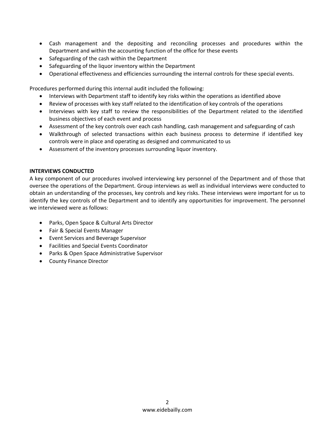- Cash management and the depositing and reconciling processes and procedures within the Department and within the accounting function of the office for these events
- Safeguarding of the cash within the Department
- Safeguarding of the liquor inventory within the Department
- Operational effectiveness and efficiencies surrounding the internal controls for these special events.

Procedures performed during this internal audit included the following:

- Interviews with Department staff to identify key risks within the operations as identified above
- Review of processes with key staff related to the identification of key controls of the operations
- Interviews with key staff to review the responsibilities of the Department related to the identified business objectives of each event and process
- Assessment of the key controls over each cash handling, cash management and safeguarding of cash
- Walkthrough of selected transactions within each business process to determine if identified key controls were in place and operating as designed and communicated to us
- Assessment of the inventory processes surrounding liquor inventory.

# **INTERVIEWS CONDUCTED**

A key component of our procedures involved interviewing key personnel of the Department and of those that oversee the operations of the Department. Group interviews as well as individual interviews were conducted to obtain an understanding of the processes, key controls and key risks. These interviews were important for us to identify the key controls of the Department and to identify any opportunities for improvement. The personnel we interviewed were as follows:

- Parks, Open Space & Cultural Arts Director
- Fair & Special Events Manager
- Event Services and Beverage Supervisor
- Facilities and Special Events Coordinator
- Parks & Open Space Administrative Supervisor
- County Finance Director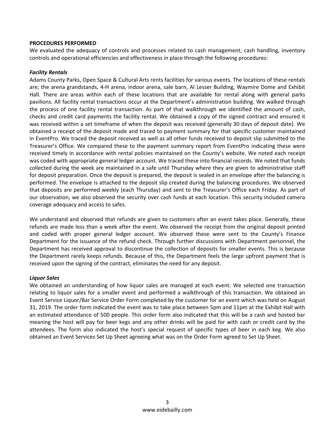### **PROCEDURES PERFORMED**

We evaluated the adequacy of controls and processes related to cash management, cash handling, inventory controls and operational efficiencies and effectiveness in place through the following procedures:

### *Facility Rentals*

Adams County Parks, Open Space & Cultural Arts rents facilities for various events. The locations of these rentals are; the arena grandstands, 4‐H arena, indoor arena, sale barn, Al Lesser Building, Waymire Dome and Exhibit Hall. There are areas within each of these locations that are available for rental along with general parks pavilions. All facility rental transactions occur at the Department's administration building. We walked through the process of one facility rental transaction. As part of that walkthrough we identified the amount of cash, checks and credit card payments the facility rental. We obtained a copy of the signed contract and ensured it was received within a set timeframe of when the deposit was received (generally 30 days of deposit date). We obtained a receipt of the deposit made and traced to payment summary for that specific customer maintained in EventPro. We traced the deposit received as well as all other funds received to deposit slip submitted to the Treasurer's Office. We compared these to the payment summary report from EventPro indicating these were received timely in accordance with rental policies maintained on the County's website. We noted each receipt was coded with appropriate general ledger account. We traced these into financial records. We noted that funds collected during the week are maintained in a safe until Thursday where they are given to administrative staff for deposit preparation. Once the deposit is prepared, the deposit is sealed in an envelope after the balancing is performed. The envelope is attached to the deposit slip created during the balancing procedures. We observed that deposits are performed weekly (each Thursday) and sent to the Treasurer's Office each Friday. As part of our observation, we also observed the security over cash funds at each location. This security included camera coverage adequacy and access to safes.

We understand and observed that refunds are given to customers after an event takes place. Generally, these refunds are made less than a week after the event. We observed the receipt from the original deposit printed and coded with proper general ledger account. We observed these were sent to the County's Finance Department for the issuance of the refund check. Through further discussions with Department personnel, the Department has received approval to discontinue the collection of deposits for smaller events. This is because the Department rarely keeps refunds. Because of this, the Department feels the large upfront payment that is received upon the signing of the contract, eliminates the need for any deposit.

# *Liquor Sales*

We obtained an understanding of how liquor sales are managed at each event. We selected one transaction relating to liquor sales for a smaller event and performed a walkthrough of this transaction. We obtained an Event Service Liquor/Bar Service Order Form completed by the customer for an event which was held on August 31, 2019. The order form indicated the event was to take place between 5pm and 11pm at the Exhibit Hall with an estimated attendance of 500 people. This order form also indicated that this will be a cash and hosted bar meaning the host will pay for beer kegs and any other drinks will be paid for with cash or credit card by the attendees. The form also indicated the host's special request of specific types of beer in each keg. We also obtained an Event Services Set Up Sheet agreeing what was on the Order Form agreed to Set Up Sheet.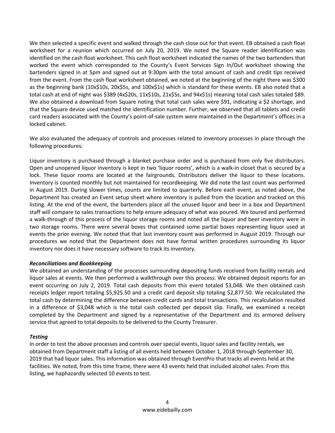We then selected a specific event and walked through the cash close out for that event. EB obtained a cash float worksheet for a reunion which occurred on July 20, 2019. We noted the Square reader identification was identified on the cash float worksheet. This cash float worksheet indicated the names of the two bartenders that worked the event which corresponded to the County's Event Services Sign In/Out worksheet showing the bartenders signed in at 5pm and signed out at 9:30pm with the total amount of cash and credit tips received from the event. From the cash float worksheet obtained, we noted at the beginning of the night there was \$300 as the beginning bank (10x\$10s, 20x\$5s, and 100x\$1s) which is standard for these events. EB also noted that a total cash at end of night was \$389 (4x\$20s, 11x\$10s, 21x\$5s, and 94x\$1s) meaning total cash sales totaled \$89. We also obtained a download from Square noting that total cash sales were \$91, indicating a \$2 shortage, and that the Square device used matched the identification number. Further, we observed that all tablets and credit card readers associated with the County's point‐of‐sale system were maintained in the Department's offices in a locked cabinet.

We also evaluated the adequacy of controls and processes related to inventory processes in place through the following procedures:

Liquor inventory is purchased through a blanket purchase order and is purchased from only five distributors. Open and unopened liquor inventory is kept in two 'liquor rooms', which is a walk‐in closet that is secured by a lock. These liquor rooms are located at the fairgrounds. Distributors deliver the liquor to these locations. Inventory is counted monthly but not maintained for recordkeeping. We did note the last count was performed in August 2019. During slower times, counts are limited to quarterly. Before each event, as noted above, the Department has created an Event setup sheet where inventory is pulled from the location and tracked on this listing. At the end of the event, the bartenders place all the unused liquor and beer in a box and Department staff will compare to sales transactions to help ensure adequacy of what was poured. We toured and performed a walk‐through of this process of the liquor storage rooms and noted all the liquor and beer inventory were in two storage rooms. There were several boxes that contained some partial boxes representing liquor used at events the prior evening. We noted that that last inventory count was performed in August 2019. Through our procedures we noted that the Department does not have formal written procedures surrounding its liquor inventory nor does it have necessary software to track its inventory.

# *Reconciliations and Bookkeeping*

We obtained an understanding of the processes surrounding depositing funds received from facility rentals and liquor sales at events. We then performed a walkthrough over this process. We obtained deposit reports for an event occurring on July 2, 2019. Total cash deposits from this event totaled \$3,048. We then obtained cash receipts ledger report totaling \$5,925.50 and a credit card deposit slip totaling \$2,877.50. We recalculated the total cash by determining the difference between credit cards and total transactions. This recalculation resulted in a difference of \$3,048 which is the total cash collected per deposit slip. Finally, we examined a receipt completed by the Department and signed by a representative of the Department and its armored delivery service that agreed to total deposits to be delivered to the County Treasurer.

# *Testing*

In order to test the above processes and controls over special events, liquor sales and facility rentals, we obtained from Department staff a listing of all events held between October 1, 2018 through September 30, 2019 that had liquor sales. This information was obtained through EventPro that tracks all events held at the facilities. We noted, from this time frame, there were 43 events held that included alcohol sales. From this listing, we haphazardly selected 10 events to test.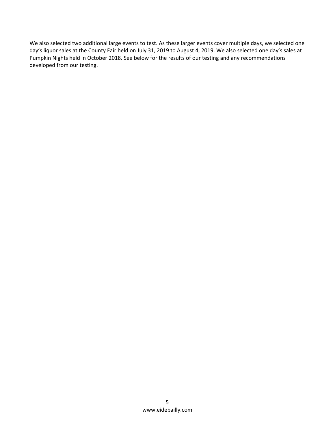We also selected two additional large events to test. As these larger events cover multiple days, we selected one day's liquor sales at the County Fair held on July 31, 2019 to August 4, 2019. We also selected one day's sales at Pumpkin Nights held in October 2018. See below for the results of our testing and any recommendations developed from our testing.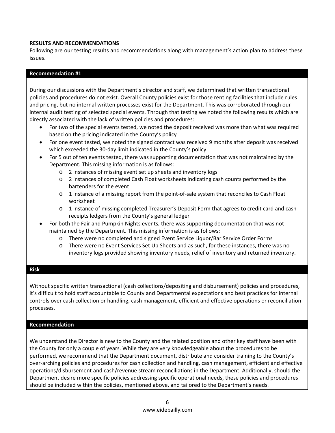# **RESULTS AND RECOMMENDATIONS**

Following are our testing results and recommendations along with management's action plan to address these issues.

# **Recommendation #1**

During our discussions with the Department's director and staff, we determined that written transactional policies and procedures do not exist. Overall County policies exist for those renting facilities that include rules and pricing, but no internal written processes exist for the Department. This was corroborated through our internal audit testing of selected special events. Through that testing we noted the following results which are directly associated with the lack of written policies and procedures:

- For two of the special events tested, we noted the deposit received was more than what was required based on the pricing indicated in the County's policy
- For one event tested, we noted the signed contract was received 9 months after deposit was received which exceeded the 30‐day limit indicated in the County's policy.
- For 5 out of ten events tested, there was supporting documentation that was not maintained by the Department. This missing information is as follows:
	- o 2 instances of missing event set up sheets and inventory logs
	- o 2 instances of completed Cash Float worksheets indicating cash counts performed by the bartenders for the event
	- o 1 instance of a missing report from the point‐of‐sale system that reconciles to Cash Float worksheet
	- o 1 instance of missing completed Treasurer's Deposit Form that agrees to credit card and cash receipts ledgers from the County's general ledger
- For both the Fair and Pumpkin Nights events, there was supporting documentation that was not maintained by the Department. This missing information is as follows:
	- o There were no completed and signed Event Service Liquor/Bar Service Order Forms
	- o There were no Event Services Set Up Sheets and as such, for these instances, there was no inventory logs provided showing inventory needs, relief of inventory and returned inventory.

# **Risk**

Without specific written transactional (cash collections/depositing and disbursement) policies and procedures, it's difficult to hold staff accountable to County and Departmental expectations and best practices for internal controls over cash collection or handling, cash management, efficient and effective operations or reconciliation processes.

# **Recommendation**

We understand the Director is new to the County and the related position and other key staff have been with the County for only a couple of years. While they are very knowledgeable about the procedures to be performed, we recommend that the Department document, distribute and consider training to the County's over‐arching policies and procedures for cash collection and handling, cash management, efficient and effective operations/disbursement and cash/revenue stream reconciliations in the Department. Additionally, should the Department desire more specific policies addressing specific operational needs, these policies and procedures should be included within the policies, mentioned above, and tailored to the Department's needs.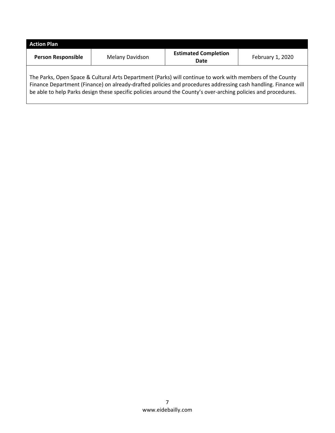| <b>Action Plan</b>        |                 |                                     |                  |
|---------------------------|-----------------|-------------------------------------|------------------|
| <b>Person Responsible</b> | Melany Davidson | <b>Estimated Completion</b><br>Date | February 1, 2020 |
|                           |                 |                                     |                  |

The Parks, Open Space & Cultural Arts Department (Parks) will continue to work with members of the County Finance Department (Finance) on already‐drafted policies and procedures addressing cash handling. Finance will be able to help Parks design these specific policies around the County's over-arching policies and procedures.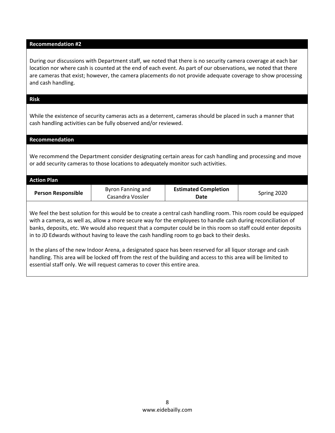# **Recommendation #2**  During our discussions with Department staff, we noted that there is no security camera coverage at each bar location nor where cash is counted at the end of each event. As part of our observations, we noted that there are cameras that exist; however, the camera placements do not provide adequate coverage to show processing and cash handling. **Risk** While the existence of security cameras acts as a deterrent, cameras should be placed in such a manner that cash handling activities can be fully observed and/or reviewed. **Recommendation** We recommend the Department consider designating certain areas for cash handling and processing and move or add security cameras to those locations to adequately monitor such activities. **Action Plan Person Responsible Byron Fanning and** Casandra Vossler **Estimated Completion Date Date Date Date Date** We feel the best solution for this would be to create a central cash handling room. This room could be equipped with a camera, as well as, allow a more secure way for the employees to handle cash during reconciliation of banks, deposits, etc. We would also request that a computer could be in this room so staff could enter deposits in to JD Edwards without having to leave the cash handling room to go back to their desks.

In the plans of the new Indoor Arena, a designated space has been reserved for all liquor storage and cash handling. This area will be locked off from the rest of the building and access to this area will be limited to essential staff only. We will request cameras to cover this entire area.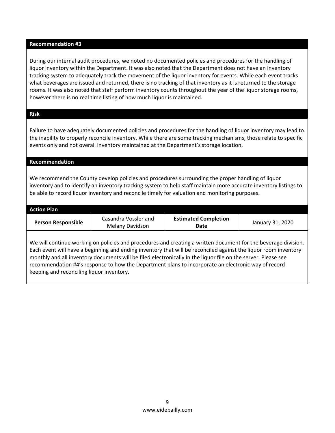### **Recommendation #3**

During our internal audit procedures, we noted no documented policies and procedures for the handling of liquor inventory within the Department. It was also noted that the Department does not have an inventory tracking system to adequately track the movement of the liquor inventory for events. While each event tracks what beverages are issued and returned, there is no tracking of that inventory as it is returned to the storage rooms. It was also noted that staff perform inventory counts throughout the year of the liquor storage rooms, however there is no real time listing of how much liquor is maintained.

# **Risk**

Failure to have adequately documented policies and procedures for the handling of liquor inventory may lead to the inability to properly reconcile inventory. While there are some tracking mechanisms, those relate to specific events only and not overall inventory maintained at the Department's storage location.

### **Recommendation**

We recommend the County develop policies and procedures surrounding the proper handling of liquor inventory and to identify an inventory tracking system to help staff maintain more accurate inventory listings to be able to record liquor inventory and reconcile timely for valuation and monitoring purposes.

| <b>Action Plan</b> |                                         |                                     |                  |
|--------------------|-----------------------------------------|-------------------------------------|------------------|
| Person Responsible | Casandra Vossler and<br>Melany Davidson | <b>Estimated Completion</b><br>Date | January 31, 2020 |

We will continue working on policies and procedures and creating a written document for the beverage division. Each event will have a beginning and ending inventory that will be reconciled against the liquor room inventory monthly and all inventory documents will be filed electronically in the liquor file on the server. Please see recommendation #4's response to how the Department plans to incorporate an electronic way of record keeping and reconciling liquor inventory.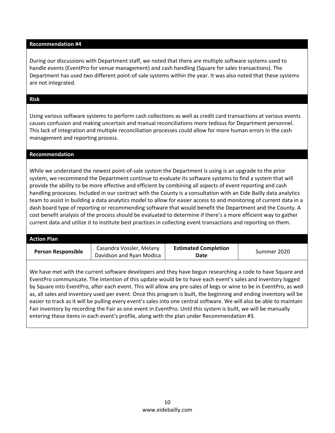### **Recommendation #4**

During our discussions with Department staff, we noted that there are multiple software systems used to handle events (EventPro for venue management) and cash handling (Square for sales transactions). The Department has used two different point‐of‐sale systems within the year. It was also noted that these systems are not integrated.

# **Risk**

Using various software systems to perform cash collections as well as credit card transactions at various events causes confusion and making uncertain and manual reconciliations more tedious for Department personnel. This lack of integration and multiple reconciliation processes could allow for more human errors in the cash management and reporting process.

### **Recommendation**

While we understand the newest point‐of‐sale system the Department is using is an upgrade to the prior system, we recommend the Department continue to evaluate its software systems to find a system that will provide the ability to be more effective and efficient by combining all aspects of event reporting and cash handling processes. Included in our contract with the County is a consultation with an Eide Bailly data analytics team to assist in building a data analytics model to allow for easier access to and monitoring of current data in a dash board type of reporting or recommending software that would benefit the Department and the County. A cost benefit analysis of the process should be evaluated to determine if there's a more efficient way to gather current data and utilize it to institute best practices in collecting event transactions and reporting on them.

### **Action Plan**

**Person Responsible | Casandra Vossler, Melany** Davidson and Ryan Modica **Estimated Completion Date** Summer 2020

We have met with the current software developers and they have begun researching a code to have Square and EventPro communicate. The intention of this update would be to have each event's sales and inventory logged by Square into EventPro, after each event. This will allow any pre‐sales of kegs or wine to be in EventPro, as well as, all sales and inventory used per event. Once this program is built, the beginning and ending inventory will be easier to track as it will be pulling every event's sales into one central software. We will also be able to maintain Fair inventory by recording the Fair as one event in EventPro. Until this system is built, we will be manually entering these items in each event's profile, along with the plan under Recommendation #3.